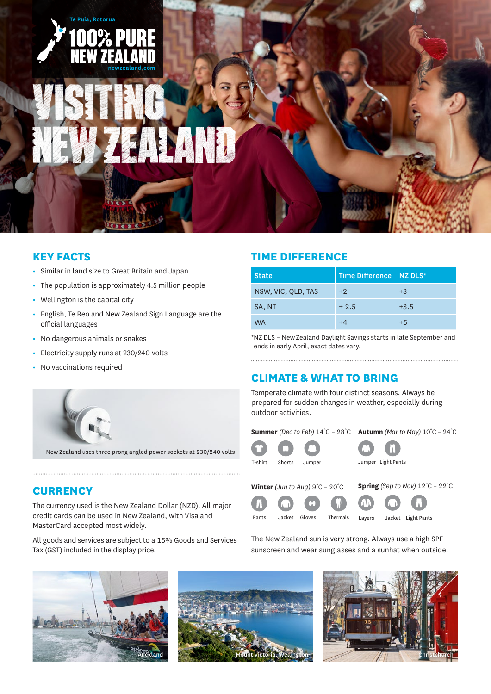

## **KEY FACTS**

- **•** Similar in land size to Great Britain and Japan
- **•** The population is approximately 4.5 million people
- **•** Wellington is the capital city
- **•** English, Te Reo and New Zealand Sign Language are the official languages
- **•** No dangerous animals or snakes
- **•** Electricity supply runs at 230/240 volts
- **•** No vaccinations required



### 

### **CURRENCY**

The currency used is the New Zealand Dollar (NZD). All major credit cards can be used in New Zealand, with Visa and MasterCard accepted most widely.

All goods and services are subject to a 15% Goods and Services Tax (GST) included in the display price.



| <b>State</b>       | Time Difference   NZ DLS* |        |
|--------------------|---------------------------|--------|
| NSW, VIC, QLD, TAS | $+2$                      | $+3$   |
| SA, NT             | $+2.5$                    | $+3.5$ |
| WA                 |                           | $+5$   |

\*NZ DLS – New Zealand Daylight Savings starts in late September and ends in early April, exact dates vary.

# **CLIMATE & WHAT TO BRING**

Temperate climate with four distinct seasons. Always be prepared for sudden changes in weather, especially during outdoor activities.

#### **Summer** *(Dec to Feb)* 14˚C – 28˚C **Autumn** *(Mar to May)* 10˚C – 24˚C





Jumper Light Pants

**Winter** *(Jun to Aug)* 9˚C – 20˚C

Pants Jacket Gloves Thermals Layers Jacket Light Pants

**Spring** *(Sep to Nov)* 12˚C – 22˚C

The New Zealand sun is very strong. Always use a high SPF sunscreen and wear sunglasses and a sunhat when outside.